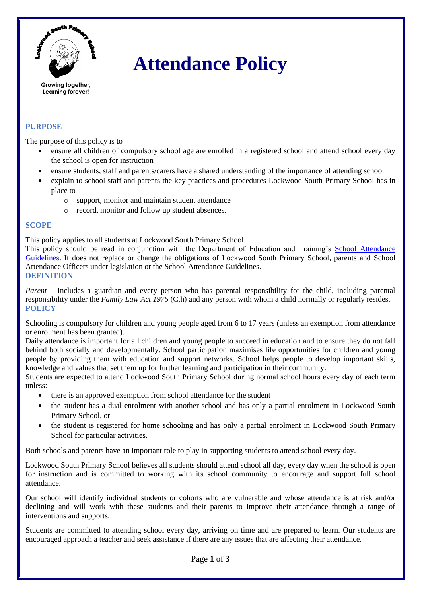

# **Attendance Policy**

## **PURPOSE**

The purpose of this policy is to

- ensure all children of compulsory school age are enrolled in a registered school and attend school every day the school is open for instruction
- ensure students, staff and parents/carers have a shared understanding of the importance of attending school
- explain to school staff and parents the key practices and procedures Lockwood South Primary School has in place to
	- o support, monitor and maintain student attendance
	- o record, monitor and follow up student absences.

#### **SCOPE**

This policy applies to all students at Lockwood South Primary School.

This policy should be read in conjunction with the Department of Education and Training's [School Attendance](https://www2.education.vic.gov.au/pal/attendance/guidance)  [Guidelines.](https://www2.education.vic.gov.au/pal/attendance/guidance) It does not replace or change the obligations of Lockwood South Primary School, parents and School Attendance Officers under legislation or the School Attendance Guidelines. **DEFINITION**

*Parent* – includes a guardian and every person who has parental responsibility for the child, including parental responsibility under the *Family Law Act 1975* (Cth) and any person with whom a child normally or regularly resides. **POLICY**

Schooling is compulsory for children and young people aged from 6 to 17 years (unless an exemption from attendance or enrolment has been granted).

Daily attendance is important for all children and young people to succeed in education and to ensure they do not fall behind both socially and developmentally. School participation maximises life opportunities for children and young people by providing them with education and support networks. School helps people to develop important skills, knowledge and values that set them up for further learning and participation in their community.

Students are expected to attend Lockwood South Primary School during normal school hours every day of each term unless:

- there is an approved exemption from school attendance for the student
- the student has a dual enrolment with another school and has only a partial enrolment in Lockwood South Primary School, or
- the student is registered for home schooling and has only a partial enrolment in Lockwood South Primary School for particular activities.

Both schools and parents have an important role to play in supporting students to attend school every day.

Lockwood South Primary School believes all students should attend school all day, every day when the school is open for instruction and is committed to working with its school community to encourage and support full school attendance.

Our school will identify individual students or cohorts who are vulnerable and whose attendance is at risk and/or declining and will work with these students and their parents to improve their attendance through a range of interventions and supports.

Students are committed to attending school every day, arriving on time and are prepared to learn. Our students are encouraged approach a teacher and seek assistance if there are any issues that are affecting their attendance.

Page **1** of **3**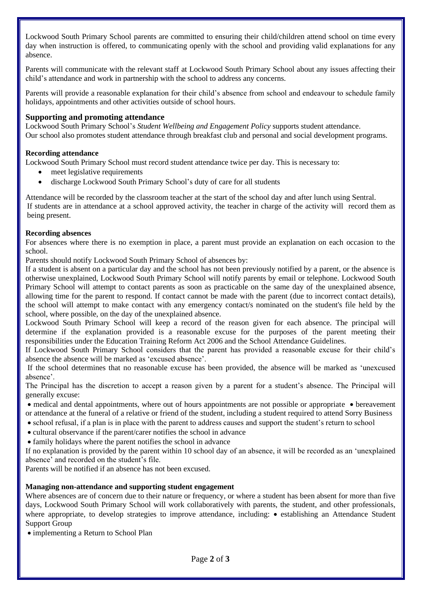Lockwood South Primary School parents are committed to ensuring their child/children attend school on time every day when instruction is offered, to communicating openly with the school and providing valid explanations for any absence.

Parents will communicate with the relevant staff at Lockwood South Primary School about any issues affecting their child's attendance and work in partnership with the school to address any concerns.

Parents will provide a reasonable explanation for their child's absence from school and endeavour to schedule family holidays, appointments and other activities outside of school hours.

## **Supporting and promoting attendance**

Lockwood South Primary School's *Student Wellbeing and Engagement Policy* supports student attendance. Our school also promotes student attendance through breakfast club and personal and social development programs.

### **Recording attendance**

Lockwood South Primary School must record student attendance twice per day. This is necessary to:

- meet legislative requirements
- discharge Lockwood South Primary School's duty of care for all students

Attendance will be recorded by the classroom teacher at the start of the school day and after lunch using Sentral. If students are in attendance at a school approved activity, the teacher in charge of the activity will record them as being present.

### **Recording absences**

For absences where there is no exemption in place, a parent must provide an explanation on each occasion to the school.

Parents should notify Lockwood South Primary School of absences by:

If a student is absent on a particular day and the school has not been previously notified by a parent, or the absence is otherwise unexplained, Lockwood South Primary School will notify parents by email or telephone. Lockwood South Primary School will attempt to contact parents as soon as practicable on the same day of the unexplained absence, allowing time for the parent to respond. If contact cannot be made with the parent (due to incorrect contact details), the school will attempt to make contact with any emergency contact/s nominated on the student's file held by the school, where possible, on the day of the unexplained absence.

Lockwood South Primary School will keep a record of the reason given for each absence. The principal will determine if the explanation provided is a reasonable excuse for the purposes of the parent meeting their responsibilities under the Education Training Reform Act 2006 and the School Attendance Guidelines.

If Lockwood South Primary School considers that the parent has provided a reasonable excuse for their child's absence the absence will be marked as 'excused absence'.

If the school determines that no reasonable excuse has been provided, the absence will be marked as 'unexcused absence'.

The Principal has the discretion to accept a reason given by a parent for a student's absence. The Principal will generally excuse:

• medical and dental appointments, where out of hours appointments are not possible or appropriate • bereavement or attendance at the funeral of a relative or friend of the student, including a student required to attend Sorry Business

- school refusal, if a plan is in place with the parent to address causes and support the student's return to school
- cultural observance if the parent/carer notifies the school in advance
- family holidays where the parent notifies the school in advance

If no explanation is provided by the parent within 10 school day of an absence, it will be recorded as an 'unexplained absence' and recorded on the student's file.

Parents will be notified if an absence has not been excused.

### **Managing non-attendance and supporting student engagement**

Where absences are of concern due to their nature or frequency, or where a student has been absent for more than five days, Lockwood South Primary School will work collaboratively with parents, the student, and other professionals, where appropriate, to develop strategies to improve attendance, including: • establishing an Attendance Student Support Group

• implementing a Return to School Plan